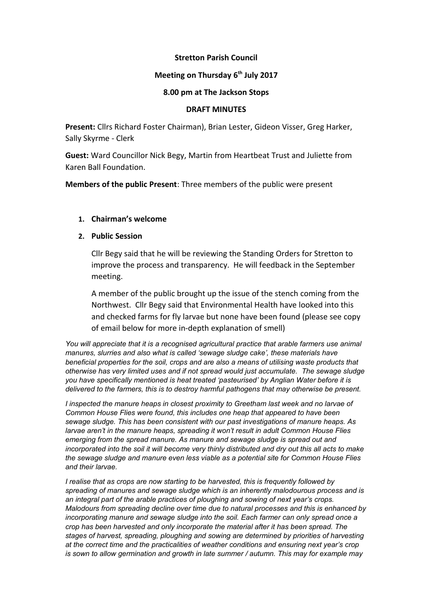## **Stretton Parish Council**

# **Meeting on Thursday 6th July 2017**

### **8.00 pm at The Jackson Stops**

#### **DRAFT MINUTES**

**Present:** Cllrs Richard Foster Chairman), Brian Lester, Gideon Visser, Greg Harker, Sally Skyrme - Clerk

**Guest:** Ward Councillor Nick Begy, Martin from Heartbeat Trust and Juliette from Karen Ball Foundation.

**Members of the public Present**: Three members of the public were present

# **1. Chairman's welcome**

## **2. Public Session**

Cllr Begy said that he will be reviewing the Standing Orders for Stretton to improve the process and transparency. He will feedback in the September meeting.

A member of the public brought up the issue of the stench coming from the Northwest. Cllr Begy said that Environmental Health have looked into this and checked farms for fly larvae but none have been found (please see copy of email below for more in-depth explanation of smell)

*You will appreciate that it is a recognised agricultural practice that arable farmers use animal manures, slurries and also what is called 'sewage sludge cake', these materials have beneficial properties for the soil, crops and are also a means of utilising waste products that otherwise has very limited uses and if not spread would just accumulate. The sewage sludge you have specifically mentioned is heat treated 'pasteurised' by Anglian Water before it is delivered to the farmers, this is to destroy harmful pathogens that may otherwise be present.* 

*I inspected the manure heaps in closest proximity to Greetham last week and no larvae of Common House Flies were found, this includes one heap that appeared to have been sewage sludge. This has been consistent with our past investigations of manure heaps. As larvae aren't in the manure heaps, spreading it won't result in adult Common House Flies emerging from the spread manure. As manure and sewage sludge is spread out and incorporated into the soil it will become very thinly distributed and dry out this all acts to make the sewage sludge and manure even less viable as a potential site for Common House Flies and their larvae.*

*I realise that as crops are now starting to be harvested, this is frequently followed by spreading of manures and sewage sludge which is an inherently malodourous process and is an integral part of the arable practices of ploughing and sowing of next year's crops. Malodours from spreading decline over time due to natural processes and this is enhanced by incorporating manure and sewage sludge into the soil. Each farmer can only spread once a crop has been harvested and only incorporate the material after it has been spread. The stages of harvest, spreading, ploughing and sowing are determined by priorities of harvesting at the correct time and the practicalities of weather conditions and ensuring next year's crop is sown to allow germination and growth in late summer / autumn. This may for example may*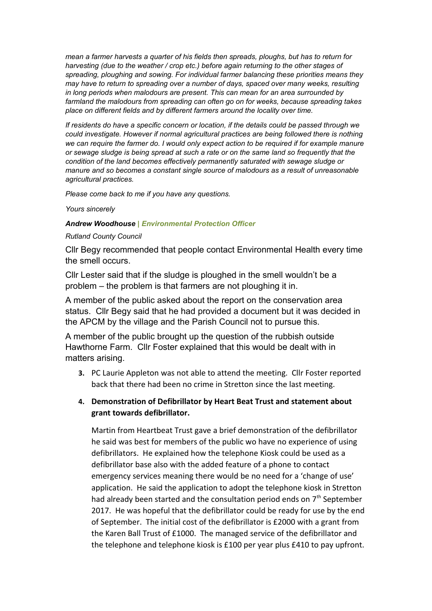*mean a farmer harvests a quarter of his fields then spreads, ploughs, but has to return for harvesting (due to the weather / crop etc.) before again returning to the other stages of spreading, ploughing and sowing. For individual farmer balancing these priorities means they may have to return to spreading over a number of days, spaced over many weeks, resulting in long periods when malodours are present. This can mean for an area surrounded by farmland the malodours from spreading can often go on for weeks, because spreading takes place on different fields and by different farmers around the locality over time.* 

*If residents do have a specific concern or location, if the details could be passed through we could investigate. However if normal agricultural practices are being followed there is nothing we can require the farmer do. I would only expect action to be required if for example manure or sewage sludge is being spread at such a rate or on the same land so frequently that the condition of the land becomes effectively permanently saturated with sewage sludge or manure and so becomes a constant single source of malodours as a result of unreasonable agricultural practices.* 

*Please come back to me if you have any questions.*

*Yours sincerely*

#### *Andrew Woodhouse | Environmental Protection Officer*

#### *Rutland County Council*

Cllr Begy recommended that people contact Environmental Health every time the smell occurs.

Cllr Lester said that if the sludge is ploughed in the smell wouldn't be a problem – the problem is that farmers are not ploughing it in.

A member of the public asked about the report on the conservation area status. Cllr Begy said that he had provided a document but it was decided in the APCM by the village and the Parish Council not to pursue this.

A member of the public brought up the question of the rubbish outside Hawthorne Farm. Cllr Foster explained that this would be dealt with in matters arising.

**3.** PC Laurie Appleton was not able to attend the meeting. Cllr Foster reported back that there had been no crime in Stretton since the last meeting.

# **4. Demonstration of Defibrillator by Heart Beat Trust and statement about grant towards defibrillator.**

Martin from Heartbeat Trust gave a brief demonstration of the defibrillator he said was best for members of the public wo have no experience of using defibrillators. He explained how the telephone Kiosk could be used as a defibrillator base also with the added feature of a phone to contact emergency services meaning there would be no need for a 'change of use' application. He said the application to adopt the telephone kiosk in Stretton had already been started and the consultation period ends on  $7<sup>th</sup>$  September 2017. He was hopeful that the defibrillator could be ready for use by the end of September. The initial cost of the defibrillator is £2000 with a grant from the Karen Ball Trust of £1000. The managed service of the defibrillator and the telephone and telephone kiosk is £100 per year plus £410 to pay upfront.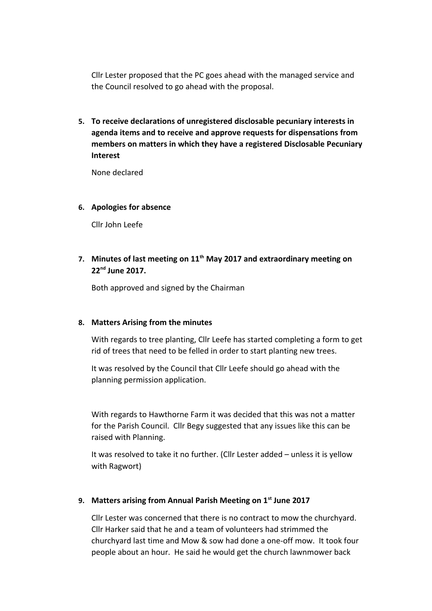Cllr Lester proposed that the PC goes ahead with the managed service and the Council resolved to go ahead with the proposal.

**5. To receive declarations of unregistered disclosable pecuniary interests in agenda items and to receive and approve requests for dispensations from members on matters in which they have a registered Disclosable Pecuniary Interest**

None declared

## **6. Apologies for absence**

Cllr John Leefe

**7. Minutes of last meeting on 11th May 2017 and extraordinary meeting on 22nd June 2017.** 

Both approved and signed by the Chairman

## **8. Matters Arising from the minutes**

With regards to tree planting, Cllr Leefe has started completing a form to get rid of trees that need to be felled in order to start planting new trees.

It was resolved by the Council that Cllr Leefe should go ahead with the planning permission application.

With regards to Hawthorne Farm it was decided that this was not a matter for the Parish Council. Cllr Begy suggested that any issues like this can be raised with Planning.

It was resolved to take it no further. (Cllr Lester added – unless it is yellow with Ragwort)

## **9. Matters arising from Annual Parish Meeting on 1st June 2017**

Cllr Lester was concerned that there is no contract to mow the churchyard. Cllr Harker said that he and a team of volunteers had strimmed the churchyard last time and Mow & sow had done a one-off mow. It took four people about an hour. He said he would get the church lawnmower back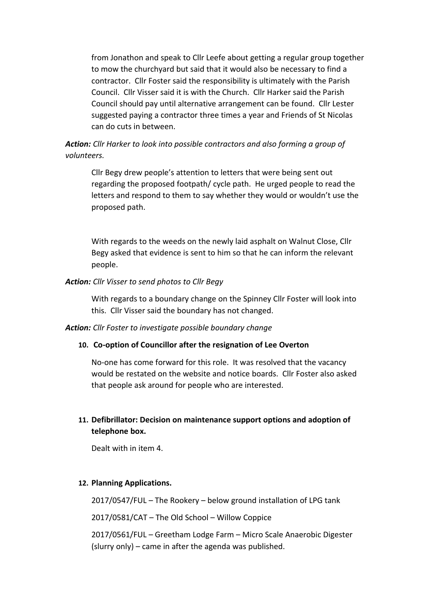from Jonathon and speak to Cllr Leefe about getting a regular group together to mow the churchyard but said that it would also be necessary to find a contractor. Cllr Foster said the responsibility is ultimately with the Parish Council. Cllr Visser said it is with the Church. Cllr Harker said the Parish Council should pay until alternative arrangement can be found. Cllr Lester suggested paying a contractor three times a year and Friends of St Nicolas can do cuts in between.

# *Action: Cllr Harker to look into possible contractors and also forming a group of volunteers.*

Cllr Begy drew people's attention to letters that were being sent out regarding the proposed footpath/ cycle path. He urged people to read the letters and respond to them to say whether they would or wouldn't use the proposed path.

With regards to the weeds on the newly laid asphalt on Walnut Close, Cllr Begy asked that evidence is sent to him so that he can inform the relevant people.

### *Action: Cllr Visser to send photos to Cllr Begy*

With regards to a boundary change on the Spinney Cllr Foster will look into this. Cllr Visser said the boundary has not changed.

#### *Action: Cllr Foster to investigate possible boundary change*

## **10. Co-option of Councillor after the resignation of Lee Overton**

No-one has come forward for this role. It was resolved that the vacancy would be restated on the website and notice boards. Cllr Foster also asked that people ask around for people who are interested.

# **11. Defibrillator: Decision on maintenance support options and adoption of telephone box.**

Dealt with in item 4.

## **12. Planning Applications.**

2017/0547/FUL – The Rookery – below ground installation of LPG tank

2017/0581/CAT – The Old School – Willow Coppice

2017/0561/FUL – Greetham Lodge Farm – Micro Scale Anaerobic Digester (slurry only) – came in after the agenda was published.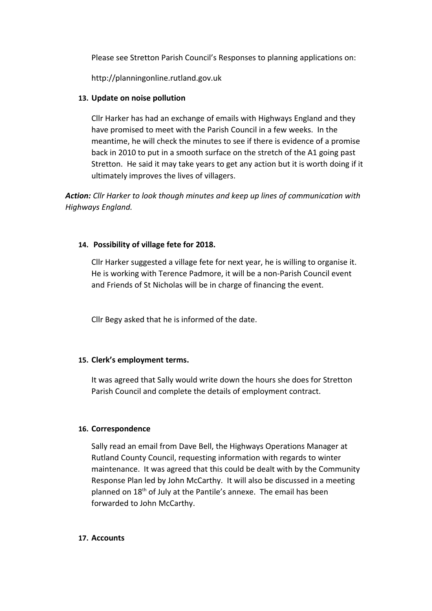Please see Stretton Parish Council's Responses to planning applications on:

http://planningonline.rutland.gov.uk

# **13. Update on noise pollution**

Cllr Harker has had an exchange of emails with Highways England and they have promised to meet with the Parish Council in a few weeks. In the meantime, he will check the minutes to see if there is evidence of a promise back in 2010 to put in a smooth surface on the stretch of the A1 going past Stretton. He said it may take years to get any action but it is worth doing if it ultimately improves the lives of villagers.

*Action: Cllr Harker to look though minutes and keep up lines of communication with Highways England.* 

# **14. Possibility of village fete for 2018.**

Cllr Harker suggested a village fete for next year, he is willing to organise it. He is working with Terence Padmore, it will be a non-Parish Council event and Friends of St Nicholas will be in charge of financing the event.

Cllr Begy asked that he is informed of the date.

# **15. Clerk's employment terms.**

It was agreed that Sally would write down the hours she does for Stretton Parish Council and complete the details of employment contract.

## **16. Correspondence**

Sally read an email from Dave Bell, the Highways Operations Manager at Rutland County Council, requesting information with regards to winter maintenance. It was agreed that this could be dealt with by the Community Response Plan led by John McCarthy. It will also be discussed in a meeting planned on 18<sup>th</sup> of July at the Pantile's annexe. The email has been forwarded to John McCarthy.

## **17. Accounts**